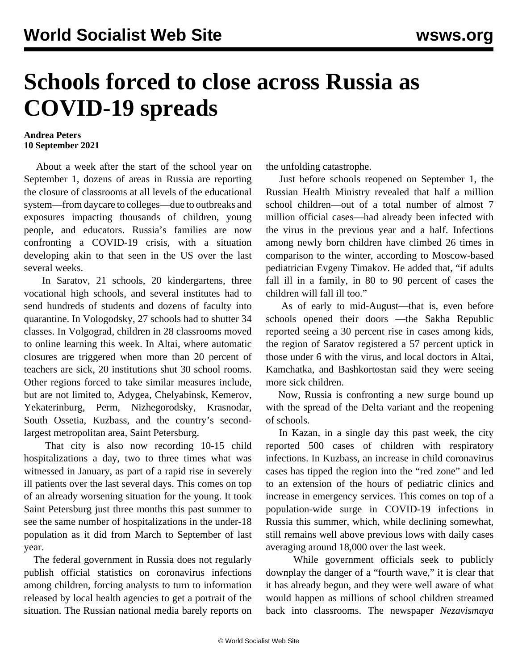## **Schools forced to close across Russia as COVID-19 spreads**

## **Andrea Peters 10 September 2021**

 About a week after the start of the school year on September 1, dozens of areas in Russia are reporting the closure of classrooms at all levels of the educational system—from daycare to colleges—due to outbreaks and exposures impacting thousands of children, young people, and educators. Russia's families are now confronting a COVID-19 crisis, with a situation developing akin to that seen in the US over the last several weeks.

 In Saratov, 21 schools, 20 kindergartens, three vocational high schools, and several institutes had to send hundreds of students and dozens of faculty into quarantine. In Vologodsky, 27 schools had to shutter 34 classes. In Volgograd, children in 28 classrooms moved to online learning this week. In Altai, where automatic closures are triggered when more than 20 percent of teachers are sick, 20 institutions shut 30 school rooms. Other regions forced to take similar measures include, but are not limited to, Adygea, Chelyabinsk, Kemerov, Yekaterinburg, Perm, Nizhegorodsky, Krasnodar, South Ossetia, Kuzbass, and the country's secondlargest metropolitan area, Saint Petersburg.

 That city is also now recording 10-15 child hospitalizations a day, two to three times what was witnessed in January, as part of a rapid rise in severely ill patients over the last several days. This comes on top of an already worsening situation for the young. It took Saint Petersburg just three months this past summer to see the same number of hospitalizations in the under-18 population as it did from March to September of last year.

 The federal government in Russia does not regularly publish official statistics on coronavirus infections among children, forcing analysts to turn to information released by local health agencies to get a portrait of the situation. The Russian national media barely reports on the unfolding catastrophe.

 Just before schools reopened on September 1, the Russian Health Ministry revealed that half a million school children—out of a total number of almost 7 million official cases—had already been infected with the virus in the previous year and a half. Infections among newly born children have climbed 26 times in comparison to the winter, according to Moscow-based pediatrician Evgeny Timakov. He added that, "if adults fall ill in a family, in 80 to 90 percent of cases the children will fall ill too."

 As of early to mid-August—that is, even before schools opened their doors —the Sakha Republic reported seeing a 30 percent rise in cases among kids, the region of Saratov registered a 57 percent uptick in those under 6 with the virus, and local doctors in Altai, Kamchatka, and Bashkortostan said they were seeing more sick children.

 Now, Russia is confronting a new surge bound up with the spread of the Delta variant and the reopening of schools.

 In Kazan, in a single day this past week, the city reported 500 cases of children with respiratory infections. In Kuzbass, an increase in child coronavirus cases has tipped the region into the "red zone" and led to an extension of the hours of pediatric clinics and increase in emergency services. This comes on top of a population-wide surge in COVID-19 infections in Russia this summer, which, while declining somewhat, still remains well above previous lows with daily cases averaging around 18,000 over the last week.

 While government officials seek to publicly downplay the danger of a "fourth wave," it is clear that it has already begun, and they were well aware of what would happen as millions of school children streamed back into classrooms. The newspaper *Nezavismaya*